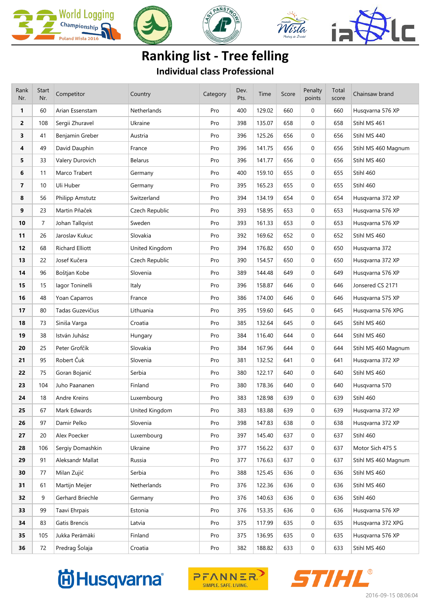

## **Ranking list - Tree felling**

**Individual class Professional**

| Rank<br>Nr.    | Start<br>Nr.   | Competitor       | Country        | Category | Dev.<br>Pts. | Time   | Score | Penalty<br>points | Total<br>score | Chainsaw brand      |  |
|----------------|----------------|------------------|----------------|----------|--------------|--------|-------|-------------------|----------------|---------------------|--|
| 1              | 60             | Arian Essenstam  | Netherlands    | Pro      | 400          | 129.02 | 660   | 0                 | 660            | Husqvarna 576 XP    |  |
| $\overline{2}$ | 108            | Sergii Zhuravel  | Ukraine        | Pro      | 398          | 135.07 | 658   | 0                 | 658            | Stihl MS 461        |  |
| 3              | 41             | Benjamin Greber  | Austria        | Pro      | 396          | 125.26 | 656   | $\mathbf{0}$      | 656            | Stihl MS 440        |  |
| 4              | 49             | David Dauphin    | France         | Pro      | 396          | 141.75 | 656   | 0                 | 656            | Stihl MS 460 Magnum |  |
| 5              | 33             | Valery Durovich  | <b>Belarus</b> | Pro      | 396          | 141.77 | 656   | $\mathbf{0}$      | 656            | Stihl MS 460        |  |
| 6              | 11             | Marco Trabert    | Germany        | Pro      | 400          | 159.10 | 655   | 0                 | 655            | Stihl 460           |  |
| 7              | 10             | Uli Huber        | Germany        | Pro      | 395          | 165.23 | 655   | 0                 | 655            | Stihl 460           |  |
| 8              | 56             | Philipp Amstutz  | Switzerland    | Pro      | 394          | 134.19 | 654   | 0                 | 654            | Husqvarna 372 XP    |  |
| 9              | 23             | Martin Pňaček    | Czech Republic | Pro      | 393          | 158.95 | 653   | 0                 | 653            | Husqvarna 576 XP    |  |
| 10             | $\overline{7}$ | Johan Tallqvist  | Sweden         | Pro      | 393          | 161.33 | 653   | 0                 | 653            | Husqvarna 576 XP    |  |
| 11             | 26             | Jaroslav Kukuc   | Slovakia       | Pro      | 392          | 169.62 | 652   | 0                 | 652            | Stihl MS 460        |  |
| 12             | 68             | Richard Elliott  | United Kingdom | Pro      | 394          | 176.82 | 650   | $\mathbf{0}$      | 650            | Husqvarna 372       |  |
| 13             | 22             | Josef Kučera     | Czech Republic | Pro      | 390          | 154.57 | 650   | 0                 | 650            | Husqvarna 372 XP    |  |
| 14             | 96             | Boštjan Kobe     | Slovenia       | Pro      | 389          | 144.48 | 649   | $\mathbf{0}$      | 649            | Husqvarna 576 XP    |  |
| 15             | 15             | lagor Toninelli  | Italy          | Pro      | 396          | 158.87 | 646   | 0                 | 646            | Jonsered CS 2171    |  |
| 16             | 48             | Yoan Caparros    | France         | Pro      | 386          | 174.00 | 646   | $\mathbf{0}$      | 646            | Husqvarna 575 XP    |  |
| 17             | 80             | Tadas Guzevičius | Lithuania      | Pro      | 395          | 159.60 | 645   | 0                 | 645            | Husqvarna 576 XPG   |  |
| 18             | 73             | Siniša Varga     | Croatia        | Pro      | 385          | 132.64 | 645   | 0                 | 645            | Stihl MS 460        |  |
| 19             | 38             | István Juhász    | Hungary        | Pro      | 384          | 116.40 | 644   | 0                 | 644            | Stihl MS 460        |  |
| 20             | 25             | Peter Grofčík    | Slovakia       | Pro      | 384          | 167.96 | 644   | $\mathbf{0}$      | 644            | Stihl MS 460 Magnum |  |
| 21             | 95             | Robert Čuk       | Slovenia       | Pro      | 381          | 132.52 | 641   | $\mathbf{0}$      | 641            | Husqvarna 372 XP    |  |
| 22             | 75             | Goran Bojanić    | Serbia         | Pro      | 380          | 122.17 | 640   | 0                 | 640            | Stihl MS 460        |  |
| 23             | 104            | Juho Paananen    | Finland        | Pro      | 380          | 178.36 | 640   | $\mathbf{0}$      | 640            | Husqvarna 570       |  |
| 24             | 18             | Andre Kreins     | Luxembourg     | Pro      | 383          | 128.98 | 639   | 0                 | 639            | Stihl 460           |  |
| 25             | 67             | Mark Edwards     | United Kingdom | Pro      | 383          | 183.88 | 639   | 0                 | 639            | Husqvarna 372 XP    |  |
| 26             | 97             | Damir Pelko      | Slovenia       | Pro      | 398          | 147.83 | 638   | 0                 | 638            | Husqvarna 372 XP    |  |
| 27             | 20             | Alex Poecker     | Luxembourg     | Pro      | 397          | 145.40 | 637   | $\mathbf 0$       | 637            | Stihl 460           |  |
| 28             | 106            | Sergiy Domashkin | Ukraine        | Pro      | 377          | 156.22 | 637   | 0                 | 637            | Motor Sich 475 S    |  |
| 29             | 91             | Aleksandr Mallat | Russia         | Pro      | 377          | 176.63 | 637   | 0                 | 637            | Stihl MS 460 Magnum |  |
| 30             | 77             | Milan Zujić      | Serbia         | Pro      | 388          | 125.45 | 636   | 0                 | 636            | Stihl MS 460        |  |
| 31             | 61             | Martijn Meijer   | Netherlands    | Pro      | 376          | 122.36 | 636   | $\mathbf 0$       | 636            | Stihl MS 460        |  |
| 32             | 9              | Gerhard Briechle | Germany        | Pro      | 376          | 140.63 | 636   | 0                 | 636            | Stihl 460           |  |
| 33             | 99             | Taavi Ehrpais    | Estonia        | Pro      | 376          | 153.35 | 636   | 0                 | 636            | Husqvarna 576 XP    |  |
| 34             | 83             | Gatis Brencis    | Latvia         | Pro      | 375          | 117.99 | 635   | 0                 | 635            | Husqvarna 372 XPG   |  |
| 35             | 105            | Jukka Perämäki   | Finland        | Pro      | 375          | 136.95 | 635   | $\mathbf 0$       | 635            | Husqvarna 576 XP    |  |
| 36             | 72             | Predrag Šolaja   | Croatia        | Pro      | 382          | 188.82 | 633   | $\boldsymbol{0}$  | 633            | Stihl MS 460        |  |

## **尚Husqvarna**



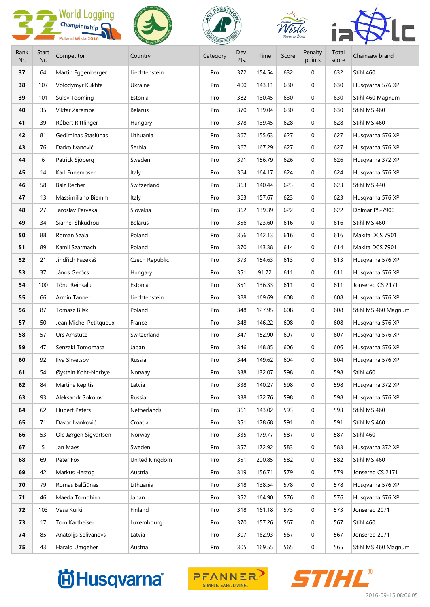|      |              | <b>World Logging</b>   |                | PANSTH   |      |        |       |              |       |                     |  |
|------|--------------|------------------------|----------------|----------|------|--------|-------|--------------|-------|---------------------|--|
|      |              | Championship           |                |          |      |        |       |              |       |                     |  |
| Rank | <b>Start</b> | Poland Wisła 2016      |                |          | Dev. |        |       | Penalty      | Total |                     |  |
| Nr.  | Nr.          | Competitor             | Country        | Category | Pts. | Time   | Score | points       | score | Chainsaw brand      |  |
| 37   | 64           | Martin Eggenberger     | Liechtenstein  | Pro      | 372  | 154.54 | 632   | 0            | 632   | Stihl 460           |  |
| 38   | 107          | Volodymyr Kukhta       | Ukraine        | Pro      | 400  | 143.11 | 630   | $\mathbf 0$  | 630   | Husqvarna 576 XP    |  |
| 39   | 101          | <b>Sulev Tooming</b>   | Estonia        | Pro      | 382  | 130.45 | 630   | $\mathbf{0}$ | 630   | Stihl 460 Magnum    |  |
| 40   | 35           | Viktar Zaremba         | <b>Belarus</b> | Pro      | 370  | 139.04 | 630   | 0            | 630   | Stihl MS 460        |  |
| 41   | 39           | Róbert Rittlinger      | Hungary        | Pro      | 378  | 139.45 | 628   | 0            | 628   | Stihl MS 460        |  |
| 42   | 81           | Gediminas Stasiūnas    | Lithuania      | Pro      | 367  | 155.63 | 627   | 0            | 627   | Husqvarna 576 XP    |  |
| 43   | 76           | Darko Ivanović         | Serbia         | Pro      | 367  | 167.29 | 627   | $\mathbf 0$  | 627   | Husqvarna 576 XP    |  |
| 44   | 6            | Patrick Sjöberg        | Sweden         | Pro      | 391  | 156.79 | 626   | $\mathbf 0$  | 626   | Husqvarna 372 XP    |  |
| 45   | 14           | Karl Ennemoser         | Italy          | Pro      | 364  | 164.17 | 624   | 0            | 624   | Husqvarna 576 XP    |  |
| 46   | 58           | <b>Balz Recher</b>     | Switzerland    | Pro      | 363  | 140.44 | 623   | 0            | 623   | Stihl MS 440        |  |
| 47   | 13           | Massimiliano Biemmi    | Italy          | Pro      | 363  | 157.67 | 623   | $\mathbf 0$  | 623   | Husqvarna 576 XP    |  |
| 48   | 27           | Jaroslav Perveka       | Slovakia       | Pro      | 362  | 139.39 | 622   | $\mathbf 0$  | 622   | Dolmar PS-7900      |  |
| 49   | 34           | Siarhei Shkudrou       | <b>Belarus</b> | Pro      | 356  | 123.60 | 616   | 0            | 616   | Stihl MS 460        |  |
| 50   | 88           | Roman Szala            | Poland         | Pro      | 356  | 142.13 | 616   | 0            | 616   | Makita DCS 7901     |  |
| 51   | 89           | Kamil Szarmach         | Poland         | Pro      | 370  | 143.38 | 614   | $\mathbf{0}$ | 614   | Makita DCS 7901     |  |
| 52   | 21           | Jindřich Fazekaš       | Czech Republic | Pro      | 373  | 154.63 | 613   | $\mathbf 0$  | 613   | Husqvarna 576 XP    |  |
| 53   | 37           | János Gerőcs           | Hungary        | Pro      | 351  | 91.72  | 611   | $\mathbf 0$  | 611   | Husqvarna 576 XP    |  |
| 54   | 100          | Tõnu Reinsalu          | Estonia        | Pro      | 351  | 136.33 | 611   | 0            | 611   | Jonsered CS 2171    |  |
| 55   | 66           | Armin Tanner           | Liechtenstein  | Pro      | 388  | 169.69 | 608   | $\mathbf 0$  | 608   | Husqvarna 576 XP    |  |
| 56   | 87           | Tomasz Bilski          | Poland         | Pro      | 348  | 127.95 | 608   | $\mathbf{0}$ | 608   | Stihl MS 460 Magnum |  |
| 57   | 50           | Jean Michel Petitqueux | France         | Pro      | 348  | 146.22 | 608   | 0            | 608   | Husqvarna 576 XP    |  |
| 58   | 57           | Urs Amstutz            | Switzerland    | Pro      | 347  | 152.90 | 607   | 0            | 607   | Husqvarna 576 XP    |  |
| 59   | 47           | Senzaki Tomomasa       | Japan          | Pro      | 346  | 148.85 | 606   | 0            | 606   | Husqvarna 576 XP    |  |
| 60   | 92           | Ilya Shvetsov          | Russia         | Pro      | 344  | 149.62 | 604   | 0            | 604   | Husqvarna 576 XP    |  |
| 61   | 54           | Øystein Koht-Norbye    | Norway         | Pro      | 338  | 132.07 | 598   | 0            | 598   | Stihl 460           |  |
| 62   | 84           | Martins Kepitis        | Latvia         | Pro      | 338  | 140.27 | 598   | $\mathbf 0$  | 598   | Husqvarna 372 XP    |  |
| 63   | 93           | Aleksandr Sokolov      | Russia         | Pro      | 338  | 172.76 | 598   | 0            | 598   | Husqvarna 576 XP    |  |
| 64   | 62           | <b>Hubert Peters</b>   | Netherlands    | Pro      | 361  | 143.02 | 593   | 0            | 593   | Stihl MS 460        |  |
| 65   | 71           | Davor Ivanković        | Croatia        | Pro      | 351  | 178.68 | 591   | 0            | 591   | Stihl MS 460        |  |
| 66   | 53           | Ole Jørgen Sigvartsen  | Norway         | Pro      | 335  | 179.77 | 587   | 0            | 587   | Stihl 460           |  |
| 67   | 5            | Jan Maes               | Sweden         | Pro      | 357  | 172.92 | 583   | 0            | 583   | Husqvarna 372 XP    |  |
| 68   | 69           | Peter Fox              | United Kingdom | Pro      | 351  | 200.85 | 582   | 0            | 582   | Stihl MS 460        |  |
| 69   | 42           | Markus Herzog          | Austria        | Pro      | 319  | 156.71 | 579   | $\mathbf 0$  | 579   | Jonsered CS 2171    |  |
| 70   | 79           | Romas Balčiūnas        | Lithuania      | Pro      | 318  | 138.54 | 578   | 0            | 578   | Husqvarna 576 XP    |  |
| 71   | 46           | Maeda Tomohiro         | Japan          | Pro      | 352  | 164.90 | 576   | 0            | 576   | Husqvarna 576 XP    |  |
| 72   | 103          | Vesa Kurki             | Finland        | Pro      | 318  | 161.18 | 573   | 0            | 573   | Jonsered 2071       |  |
| 73   | 17           | Tom Kartheiser         | Luxembourg     | Pro      | 370  | 157.26 | 567   | 0            | 567   | Stihl 460           |  |
| 74   | 85           | Anatolijs Selivanovs   | Latvia         | Pro      | 307  | 162.93 | 567   | 0            | 567   | Jonsered 2071       |  |
| 75   | 43           | Harald Umgeher         | Austria        | Pro      | 305  | 169.55 | 565   | 0            | 565   | Stihl MS 460 Magnum |  |

## **尚Husqvarna**®